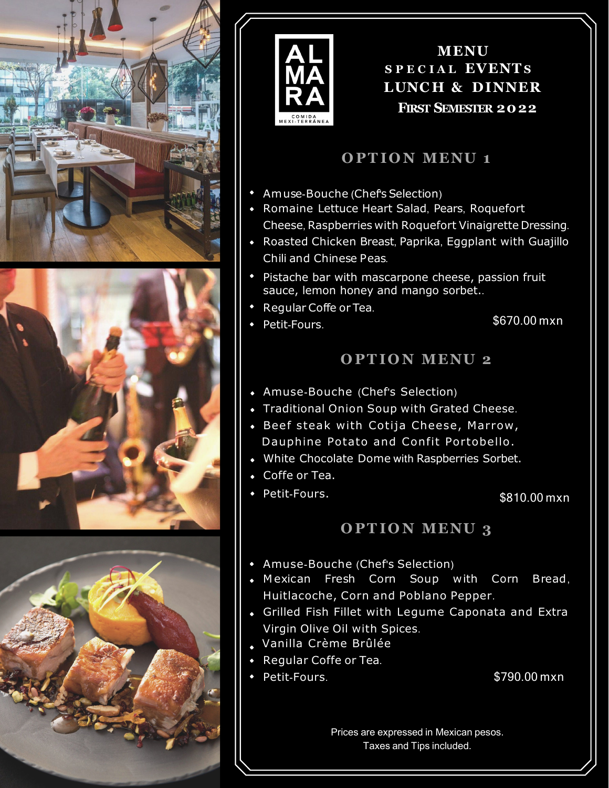







**MENU S P E C I A L EVENTS LUNC H & DINNER FIRST SEMESTER 2022**

# **O PT IO N MENU 1**

- Amuse-Bouche (Chef's Selection)
- Romaine Lettuce Heart Salad, Pears, Roquefort Cheese, Raspberries with Roquefort Vinaigrette Dressing.
- Roasted Chicken Breast, Paprika, Eggplant with Guajillo Chili and Chinese Peas.
- Pistache bar with mascarpone cheese, passion fruit sauce, lemon honey and mango sorbet..
- Regular Coffe or Tea.
- Petit-Fours. \$670.00 mxn

# **O PT IO N MENU 2**

- Amuse-Bouche (Chef's Selection)
- Traditional Onion Soup with Grated Cheese.
- Beef steak with Cotija Cheese, Marrow, Dauphine Potato and Confit Portobello.
- White Chocolate Dome with Raspberries Sorbet.
- Coffe or Tea.
- Petit-Fours.

\$810.00 mxn

### **O PT IO N MENU 3**

- Amuse-Bouche (Chef's Selection)
- M exican Fresh Corn Soup with Corn Bread, Huitlacoche, Corn and Poblano Pepper.
- Grilled Fish Fillet with Legume Caponata and Extra Virgin Olive Oil with Spices.
- Vanilla Crème Brûlée
- Regular Coffe or Tea.
- Petit-Fours. \$790.00 mxn
	-

Prices are expressed in Mexican pesos. Taxes and Tips included.